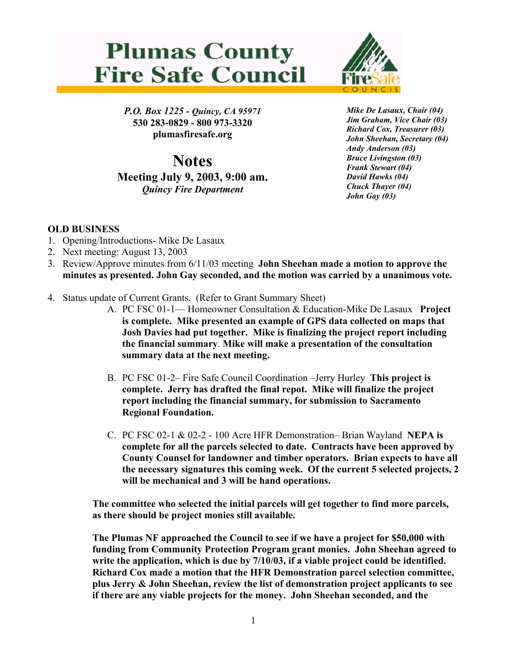## **Plumas County Fire Safe Council**



*P.O. Box 1225 - Quincy, CA 95971*  **530 283-0829 - 800 973-3320 plumasfiresafe.org** 

**Notes Meeting July 9, 2003, 9:00 am.**  *Quincy Fire Department*

*Mike De Lasaux, Chair (04) Jim Graham, Vice Chair (03) Richard Cox, Treasurer (03) John Sheehan, Secretary (04) Andy Anderson (03) Bruce Livingston (03) Frank Stewart (04) David Hawks (04) Chuck Thayer (04) John Gay (03)*

## **OLD BUSINESS**

- 1. Opening/Introductions- Mike De Lasaux
- 2. Next meeting: August 13, 2003
- 3. Review/Approve minutes from 6/11/03 meeting **John Sheehan made a motion to approve the minutes as presented. John Gay seconded, and the motion was carried by a unanimous vote.**
- 4. Status update of Current Grants. (Refer to Grant Summary Sheet)
	- A. PC FSC 01-1— Homeowner Consultation & Education-Mike De Lasaux **Project is complete. Mike presented an example of GPS data collected on maps that Josh Davies had put together. Mike is finalizing the project report including the financial summary**. **Mike will make a presentation of the consultation summary data at the next meeting.**
	- B. PC FSC 01-2– Fire Safe Council Coordination –Jerry Hurley **This project is complete. Jerry has drafted the final repot. Mike will finalize the project report including the financial summary, for submission to Sacramento Regional Foundation.**
	- C. PC FSC 02-1 & 02-2 100 Acre HFR Demonstration– Brian Wayland **NEPA is complete for all the parcels selected to date. Contracts have been approved by County Counsel for landowner and timber operators. Brian expects to have all the necessary signatures this coming week. Of the current 5 selected projects, 2 will be mechanical and 3 will be hand operations.**

**The committee who selected the initial parcels will get together to find more parcels, as there should be project monies still available.** 

**The Plumas NF approached the Council to see if we have a project for \$50,000 with funding from Community Protection Program grant monies. John Sheehan agreed to write the application, which is due by 7/10/03, if a viable project could be identified. Richard Cox made a motion that the HFR Demonstration parcel selection committee, plus Jerry & John Sheehan, review the list of demonstration project applicants to see if there are any viable projects for the money. John Sheehan seconded, and the**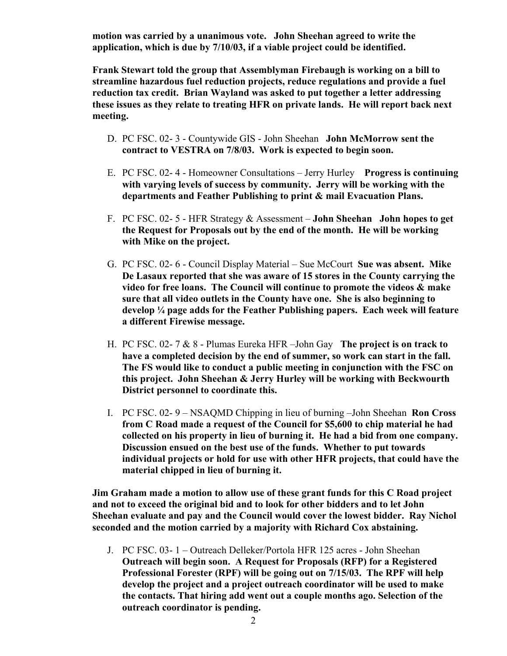**motion was carried by a unanimous vote. John Sheehan agreed to write the application, which is due by 7/10/03, if a viable project could be identified.** 

**Frank Stewart told the group that Assemblyman Firebaugh is working on a bill to streamline hazardous fuel reduction projects, reduce regulations and provide a fuel reduction tax credit. Brian Wayland was asked to put together a letter addressing these issues as they relate to treating HFR on private lands. He will report back next meeting.**

- D. PC FSC. 02- 3 Countywide GIS John Sheehan **John McMorrow sent the contract to VESTRA on 7/8/03. Work is expected to begin soon.**
- E. PC FSC. 02- 4 Homeowner Consultations Jerry Hurley **Progress is continuing with varying levels of success by community. Jerry will be working with the departments and Feather Publishing to print & mail Evacuation Plans.**
- F. PC FSC. 02- 5 HFR Strategy & Assessment – **John Sheehan John hopes to get the Request for Proposals out by the end of the month. He will be working with Mike on the project.**
- G. PC FSC. 02- 6 Council Display Material Sue McCourt **Sue was absent. Mike De Lasaux reported that she was aware of 15 stores in the County carrying the video for free loans. The Council will continue to promote the videos & make sure that all video outlets in the County have one. She is also beginning to develop ¼ page adds for the Feather Publishing papers. Each week will feature a different Firewise message.**
- H. PC FSC. 02- 7 & 8 Plumas Eureka HFR –John Gay **The project is on track to have a completed decision by the end of summer, so work can start in the fall. The FS would like to conduct a public meeting in conjunction with the FSC on this project. John Sheehan & Jerry Hurley will be working with Beckwourth District personnel to coordinate this.**
- I. PC FSC. 02- 9 NSAQMD Chipping in lieu of burning –John Sheehan **Ron Cross from C Road made a request of the Council for \$5,600 to chip material he had collected on his property in lieu of burning it. He had a bid from one company. Discussion ensued on the best use of the funds. Whether to put towards individual projects or hold for use with other HFR projects, that could have the material chipped in lieu of burning it.**

**Jim Graham made a motion to allow use of these grant funds for this C Road project and not to exceed the original bid and to look for other bidders and to let John Sheehan evaluate and pay and the Council would cover the lowest bidder. Ray Nichol seconded and the motion carried by a majority with Richard Cox abstaining.** 

J. PC FSC. 03- 1 – Outreach Delleker/Portola HFR 125 acres - John Sheehan **Outreach will begin soon. A Request for Proposals (RFP) for a Registered Professional Forester (RPF) will be going out on 7/15/03. The RPF will help develop the project and a project outreach coordinator will be used to make the contacts. That hiring add went out a couple months ago. Selection of the outreach coordinator is pending.**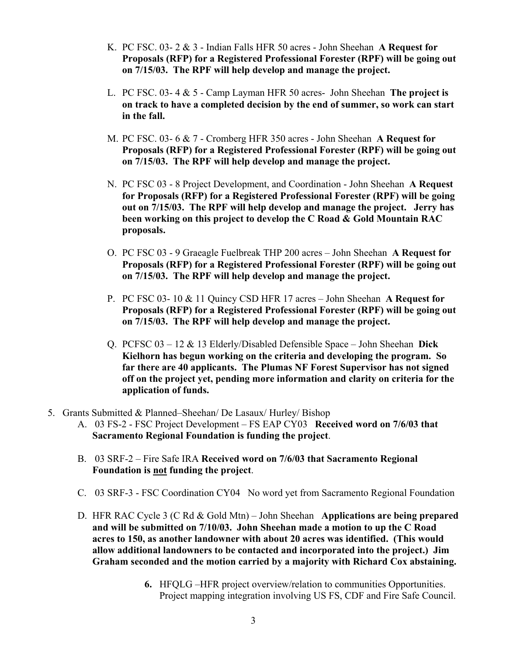- K. PC FSC. 03- 2 & 3 Indian Falls HFR 50 acres John Sheehan **A Request for Proposals (RFP) for a Registered Professional Forester (RPF) will be going out on 7/15/03. The RPF will help develop and manage the project.**
- L. PC FSC. 03- 4 & 5 Camp Layman HFR 50 acres- John Sheehan **The project is on track to have a completed decision by the end of summer, so work can start in the fall.**
- M. PC FSC. 03- 6 & 7 Cromberg HFR 350 acres John Sheehan **A Request for Proposals (RFP) for a Registered Professional Forester (RPF) will be going out on 7/15/03. The RPF will help develop and manage the project.**
- N. PC FSC 03 8 Project Development, and Coordination John Sheehan **A Request for Proposals (RFP) for a Registered Professional Forester (RPF) will be going out on 7/15/03. The RPF will help develop and manage the project. Jerry has been working on this project to develop the C Road & Gold Mountain RAC proposals.**
- O. PC FSC 03 9 Graeagle Fuelbreak THP 200 acres John Sheehan **A Request for Proposals (RFP) for a Registered Professional Forester (RPF) will be going out on 7/15/03. The RPF will help develop and manage the project.**
- P. PC FSC 03- 10 & 11 Quincy CSD HFR 17 acres John Sheehan **A Request for Proposals (RFP) for a Registered Professional Forester (RPF) will be going out on 7/15/03. The RPF will help develop and manage the project.**
- Q. PCFSC 03 12 & 13 Elderly/Disabled Defensible Space John Sheehan **Dick Kielhorn has begun working on the criteria and developing the program. So far there are 40 applicants. The Plumas NF Forest Supervisor has not signed off on the project yet, pending more information and clarity on criteria for the application of funds.**
- 5. Grants Submitted & Planned–Sheehan/ De Lasaux/ Hurley/ Bishop
	- A. 03 FS-2 FSC Project Development FS EAP CY03 **Received word on 7/6/03 that Sacramento Regional Foundation is funding the project**.
	- B. 03 SRF-2 Fire Safe IRA **Received word on 7/6/03 that Sacramento Regional Foundation is not funding the project**.
	- C. 03 SRF-3 FSC Coordination CY04 No word yet from Sacramento Regional Foundation
	- D. HFR RAC Cycle 3 (C Rd & Gold Mtn) John Sheehan **Applications are being prepared and will be submitted on 7/10/03. John Sheehan made a motion to up the C Road acres to 150, as another landowner with about 20 acres was identified. (This would allow additional landowners to be contacted and incorporated into the project.) Jim Graham seconded and the motion carried by a majority with Richard Cox abstaining.**
		- **6.** HFQLG –HFR project overview/relation to communities Opportunities. Project mapping integration involving US FS, CDF and Fire Safe Council.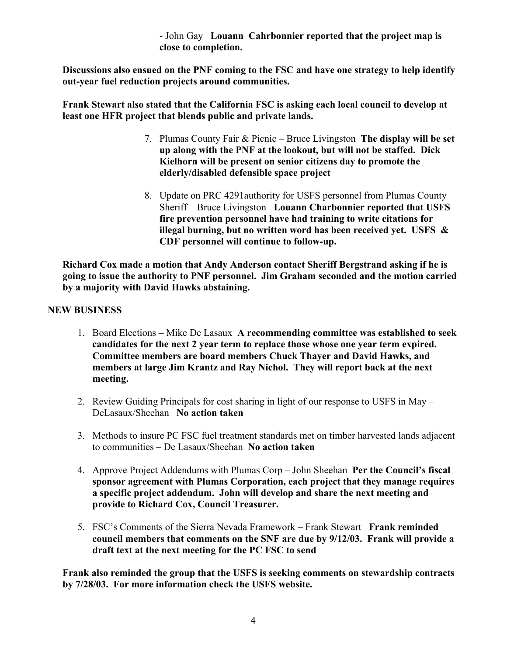- John Gay **Louann Cahrbonnier reported that the project map is close to completion.** 

**Discussions also ensued on the PNF coming to the FSC and have one strategy to help identify out-year fuel reduction projects around communities.** 

**Frank Stewart also stated that the California FSC is asking each local council to develop at least one HFR project that blends public and private lands.**

- 7. Plumas County Fair & Picnic Bruce Livingston **The display will be set up along with the PNF at the lookout, but will not be staffed. Dick Kielhorn will be present on senior citizens day to promote the elderly/disabled defensible space project**
- 8. Update on PRC 4291authority for USFS personnel from Plumas County Sheriff – Bruce Livingston **Louann Charbonnier reported that USFS fire prevention personnel have had training to write citations for illegal burning, but no written word has been received yet. USFS & CDF personnel will continue to follow-up.**

**Richard Cox made a motion that Andy Anderson contact Sheriff Bergstrand asking if he is going to issue the authority to PNF personnel. Jim Graham seconded and the motion carried by a majority with David Hawks abstaining.** 

## **NEW BUSINESS**

- 1. Board Elections Mike De Lasaux **A recommending committee was established to seek candidates for the next 2 year term to replace those whose one year term expired. Committee members are board members Chuck Thayer and David Hawks, and members at large Jim Krantz and Ray Nichol. They will report back at the next meeting.**
- 2. Review Guiding Principals for cost sharing in light of our response to USFS in May DeLasaux/Sheehan **No action taken**
- 3. Methods to insure PC FSC fuel treatment standards met on timber harvested lands adjacent to communities – De Lasaux/Sheehan **No action taken**
- 4. Approve Project Addendums with Plumas Corp John Sheehan **Per the Council's fiscal sponsor agreement with Plumas Corporation, each project that they manage requires a specific project addendum. John will develop and share the next meeting and provide to Richard Cox, Council Treasurer.**
- 5. FSC's Comments of the Sierra Nevada Framework Frank Stewart **Frank reminded council members that comments on the SNF are due by 9/12/03. Frank will provide a draft text at the next meeting for the PC FSC to send**

**Frank also reminded the group that the USFS is seeking comments on stewardship contracts by 7/28/03. For more information check the USFS website.**